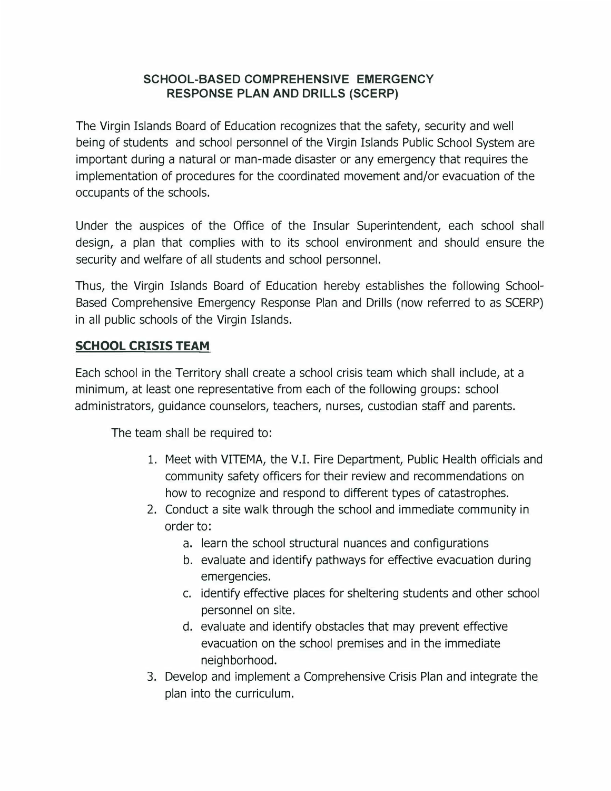#### **SCHOOL-BASED COMPREHENSIVE EMERGENCY RESPONSE PLAN AND DRILLS (SCERP)**

The Virgin Islands Board of Education recognizes that the safety, security and well being of students and school personnel of the Virgin Islands Public School System are important during a natural or man-made disaster or any emergency that requires the implementation of procedures for the coordinated movement and/or evacuation of the occupants of the schools.

Under the auspices of the Office of the Insular Superintendent, each school shall design, a plan that complies with to its school environment and should ensure the security and welfare of all students and school personnel.

Thus, the Virgin Islands Board of Education hereby establishes the following School-Based Comprehensive Emergency Response Plan and Drills (now referred to as SCERP) in all public schools of the Virgin Islands.

#### **SCHOOL CRISIS TEAM**

Each school in the Territory shall create a school crisis team which shall include, at a minimum, at least one representative from each of the following groups: school administrators, guidance counselors, teachers, nurses, custodian staff and parents.

The team shall be required to:

- 1. Meet with VITEMA, the V.I. Fire Department, Public Health officials and community safety officers for their review and recommendations on how to recognize and respond to different types of catastrophes.
- 2. Conduct a site walk through the school and immediate community in order to:
	- a. learn the school structural nuances and configurations
	- b. evaluate and identify pathways for effective evacuation during emergencies.
	- c. identify effective places for sheltering students and other school personnel on site.
	- d. evaluate and identify obstacles that may prevent effective evacuation on the school premises and in the immediate neighborhood.
- 3. Develop and implement a Comprehensive Crisis Plan and integrate the plan into the curriculum.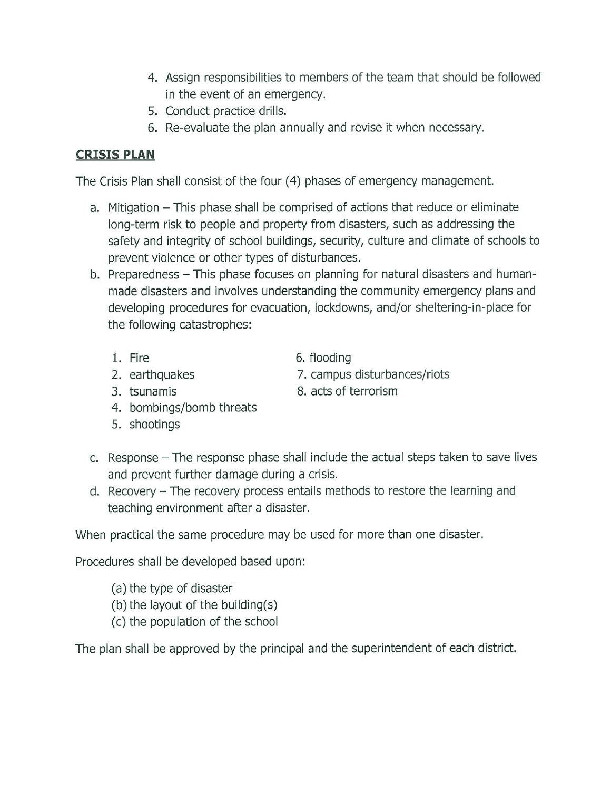- 4. Assign responsibilities to members of the team that should be followed in the event of an emergency.
- 5. Conduct practice drills.
- 6. Re-evaluate the plan annually and revise it when necessary.

### **CRISIS PLAN**

The Crisis Plan shall consist of the four (4) phases of emergency management.

- a. Mitigation This phase shall be comprised of actions that reduce or eliminate long-term risk to people and property from disasters, such as addressing the safety and integrity of school buildings, security, culture and climate of schools to prevent violence or other types of disturbances.
- b. Preparedness This phase focuses on planning for natural disasters and humanmade disasters and involves understanding the community emergency plans and developing procedures for evacuation, lockdowns, and/or sheltering-in-place for the following catastrophes:
	- 1. Fire
	- 2. earthquakes

6. flooding

8. acts of terrorism

7. campus disturbances/riots

- 3. tsunamis
- 4. bombings/bomb threats
- 5. shootings
- c. Response The response phase shall include the actual steps taken to save lives and prevent further damage during a crisis.
- d. Recovery The recovery process entails methods to restore the learning and teaching environment after a disaster.

When practical the same procedure may be used for more than one disaster.

Procedures shall be developed based upon:

- (a) the type of disaster
- (b) the layout of the building(s)
- (c) the population of the school

The plan shall be approved by the principal and the superintendent of each district.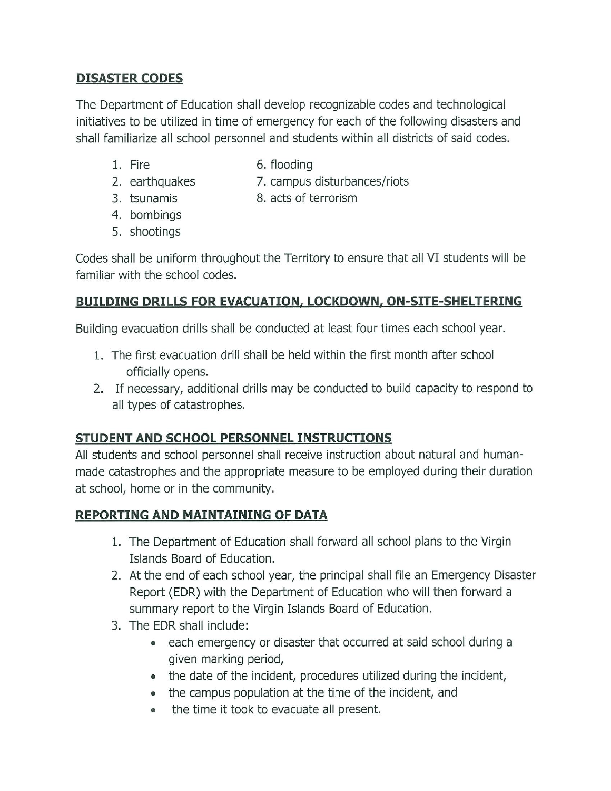## **DISASTER CODES**

The Department of Education shall develop recognizable codes and technological initiatives to be utilized in time of emergency for each of the following disasters and shall familiarize all school personnel and students within all districts of said codes.

1. Fire

- 6. flooding
- 2. earthquakes
- 7. campus disturbances/riots
- 3. tsunamis
- 8. acts of terrorism
- 4. bombings
- 5. shootings

Codes shall be uniform throughout the Territory to ensure that all VI students will be familiar with the school codes.

# **BUILDING DRILLS FOR EVACUATION, LOCKDOWN, ON-SITE-SHELTERING**

Building evacuation drills shall be conducted at least four times each school year.

- 1. The first evacuation drill shall be held within the first month after school officially opens.
- 2. If necessary, additional drills may be conducted to build capacity to respond to all types of catastrophes.

# STUDENT AND SCHOOL PERSONNEL INSTRUCTIONS

All students and school personnel shall receive instruction about natural and humanmade catastrophes and the appropriate measure to be employed during their duration at school, home or in the community.

# **REPORTING AND MAINTAINING OF DATA**

- 1. The Department of Education shall forward all school plans to the Virgin Islands Board of Education.
- 2. At the end of each school year, the principal shall file an Emergency Disaster Report (EDR) with the Department of Education who will then forward a summary report to the Virgin Islands Board of Education.
- 3. The EDR shall include:
	- each emergency or disaster that occurred at said school during a given marking period,
	- the date of the incident, procedures utilized during the incident,
	- the campus population at the time of the incident, and
	- the time it took to evacuate all present.